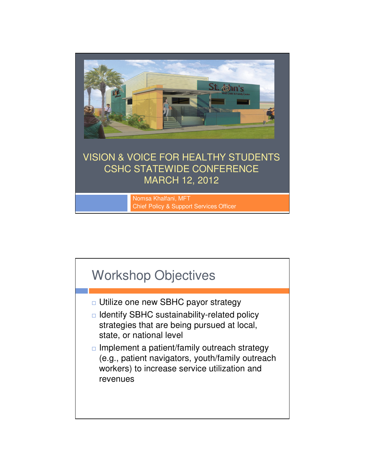

Chief Policy & Support Services Officer

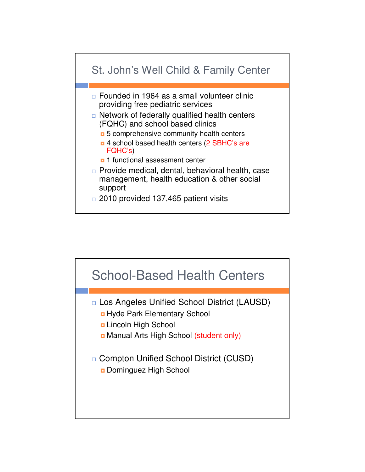

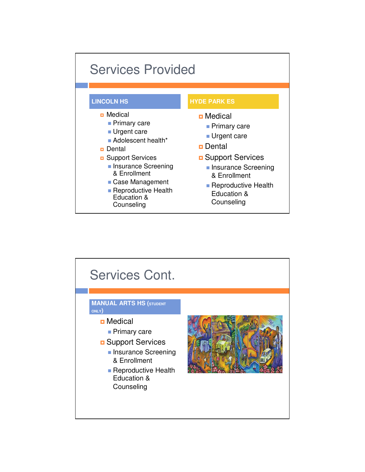

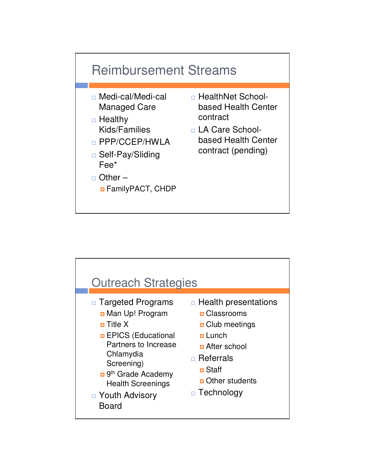

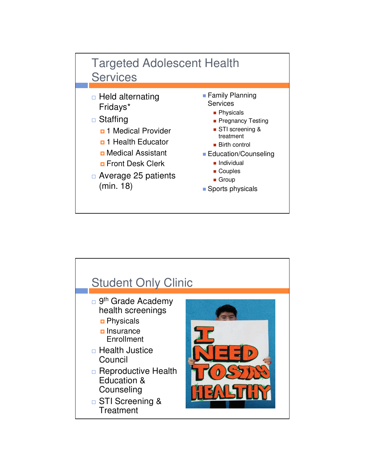